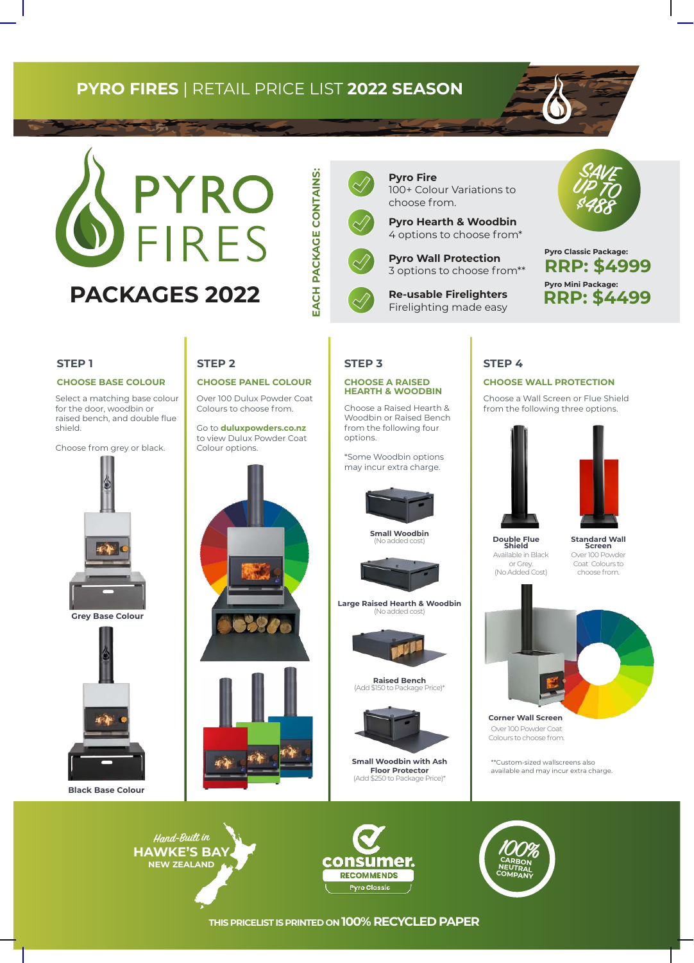# **PYRO FIRES** | RETAIL PRICE LIST **2022 SEASON**



# EACH PACKAGE CONTAINS: **EACH PACKAGE CONTAINS:**

**Pyro Fire** 100+ Colour Variations to



choose from. **Pyro Hearth & Woodbin**

4 options to choose from\*

**Pyro Wall Protection**

3 options to choose from\*\*





**RRP: \$4999 Pyro Classic Package: RRP: \$4499 Pyro Mini Package:**

### **STEP 1**

#### **CHOOSE BASE COLOUR**

Select a matching base colour for the door, woodbin or raised bench, and double flue shield.

Choose from grey or black.



**Grey Base Colour**



**Black Base Colour**

# STEP 2 <mark>STEP 3 STEP 4</mark>

Over 100 Dulux Powder Coat Colours to choose from. Go to **duluxpowders.co.nz**

to view Dulux Powder Coat Colour options.



## **STEP 3**

#### **CHOOSE A RAISED HEARTH & WOODBIN**

Choose a Raised Hearth & Woodbin or Raised Bench from the following four options.

\*Some Woodbin options may incur extra charge.



**Small Woodbin** (No added cost)



**Large Raised Hearth & Woodbin** (No added cost)



**Raised Bench** (Add \$150 to Package Price)\*



**Small Woodbin with Ash Floor Protector** (Add \$250 to Package Price)\*

**Double Flue Shield**

Available in Black or Grey. (No Added Cost)

#### **CHOOSE PANEL COLOUR CHOOSE A RAISED CHOOSE WALL PROTECTION**

Choose a Wall Screen or Flue Shield from the following three options.





**Standard Wall Screen** Over 100 Powder Coat Colours to choose from.



**Corner Wall Screen** Over 100 Powder Coat Colours to choose from.

\*\*Custom-sized wallscreens also available and may incur extra charge.







**THIS PRICELIST IS PRINTED ON 100% RECYCLED PAPER**